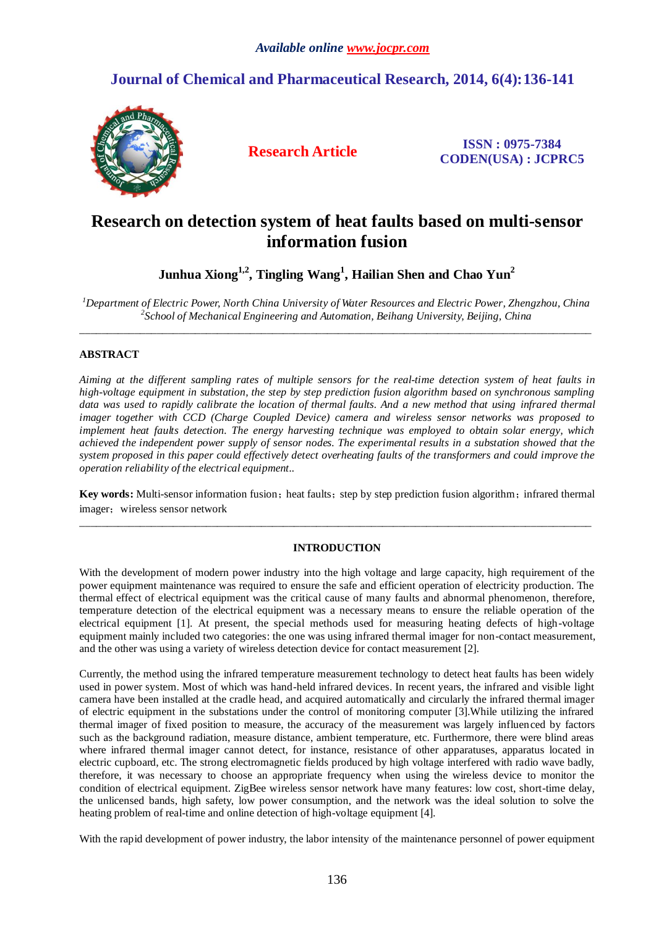# **Journal of Chemical and Pharmaceutical Research, 2014, 6(4):136-141**



**Research Article ISSN : 0975-7384 CODEN(USA) : JCPRC5**

# **Research on detection system of heat faults based on multi-sensor information fusion**

**Junhua Xiong 1,2 , Tingling Wang<sup>1</sup> , Hailian Shen and Chao Yun<sup>2</sup>**

*<sup>1</sup>Department of Electric Power, North China University of Water Resources and Electric Power, Zhengzhou, China 2 School of Mechanical Engineering and Automation, Beihang University, Beijing, China* \_\_\_\_\_\_\_\_\_\_\_\_\_\_\_\_\_\_\_\_\_\_\_\_\_\_\_\_\_\_\_\_\_\_\_\_\_\_\_\_\_\_\_\_\_\_\_\_\_\_\_\_\_\_\_\_\_\_\_\_\_\_\_\_\_\_\_\_\_\_\_\_\_\_\_\_\_\_\_\_\_\_\_\_\_\_\_\_\_\_\_\_\_

# **ABSTRACT**

*Aiming at the different sampling rates of multiple sensors for the real-time detection system of heat faults in high-voltage equipment in substation, the step by step prediction fusion algorithm based on synchronous sampling*  data was used to rapidly calibrate the location of thermal faults. And a new method that using infrared thermal *imager together with CCD (Charge Coupled Device) camera and wireless sensor networks was proposed to implement heat faults detection. The energy harvesting technique was employed to obtain solar energy, which achieved the independent power supply of sensor nodes. The experimental results in a substation showed that the system proposed in this paper could effectively detect overheating faults of the transformers and could improve the operation reliability of the electrical equipment..*

**Key words:** Multi-sensor information fusion; heat faults; step by step prediction fusion algorithm; infrared thermal imager; wireless sensor network

\_\_\_\_\_\_\_\_\_\_\_\_\_\_\_\_\_\_\_\_\_\_\_\_\_\_\_\_\_\_\_\_\_\_\_\_\_\_\_\_\_\_\_\_\_\_\_\_\_\_\_\_\_\_\_\_\_\_\_\_\_\_\_\_\_\_\_\_\_\_\_\_\_\_\_\_\_\_\_\_\_\_\_\_\_\_\_\_\_\_\_\_\_

# **INTRODUCTION**

With the development of modern power industry into the high voltage and large capacity, high requirement of the power equipment maintenance was required to ensure the safe and efficient operation of electricity production. The thermal effect of electrical equipment was the critical cause of many faults and abnormal phenomenon, therefore, temperature detection of the electrical equipment was a necessary means to ensure the reliable operation of the electrical equipment [1]. At present, the special methods used for measuring heating defects of high-voltage equipment mainly included two categories: the one was using infrared thermal imager for non-contact measurement, and the other was using a variety of wireless detection device for contact measurement [2].

Currently, the method using the infrared temperature measurement technology to detect heat faults has been widely used in power system. Most of which was hand-held infrared devices. In recent years, the infrared and visible light camera have been installed at the cradle head, and acquired automatically and circularly the infrared thermal imager of electric equipment in the substations under the control of monitoring computer [3].While utilizing the infrared thermal imager of fixed position to measure, the accuracy of the measurement was largely influenced by factors such as the background radiation, measure distance, ambient temperature, etc. Furthermore, there were blind areas where infrared thermal imager cannot detect, for instance, resistance of other apparatuses, apparatus located in electric cupboard, etc. The strong electromagnetic fields produced by high voltage interfered with radio wave badly, therefore, it was necessary to choose an appropriate frequency when using the wireless device to monitor the condition of electrical equipment. ZigBee wireless sensor network have many features: low cost, short-time delay, the unlicensed bands, high safety, low power consumption, and the network was the ideal solution to solve the heating problem of real-time and online detection of high-voltage equipment [4].

With the rapid development of power industry, the labor intensity of the maintenance personnel of power equipment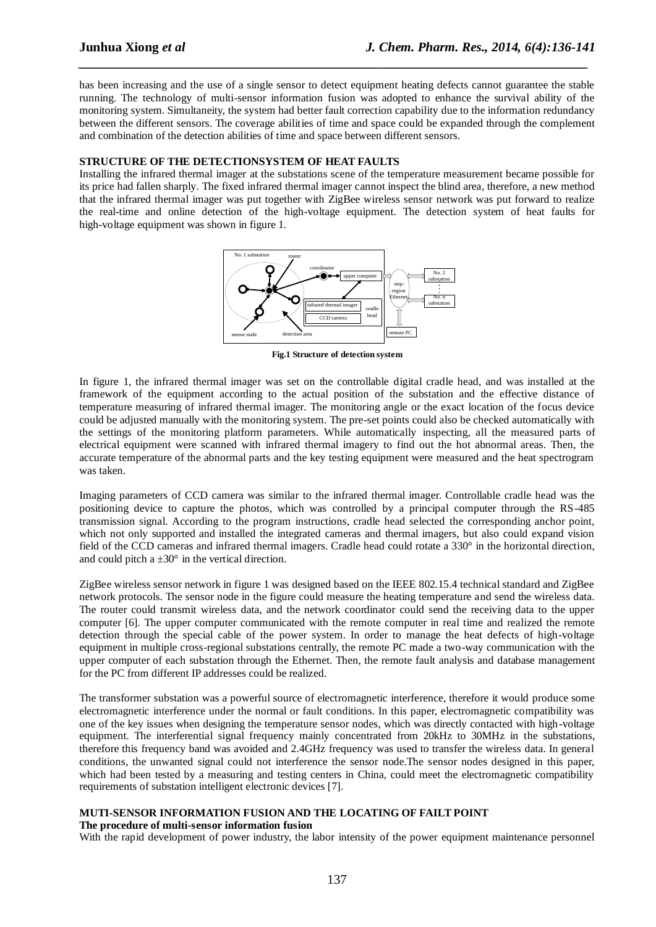has been increasing and the use of a single sensor to detect equipment heating defects cannot guarantee the stable running. The technology of multi-sensor information fusion was adopted to enhance the survival ability of the monitoring system. Simultaneity, the system had better fault correction capability due to the information redundancy between the different sensors. The coverage abilities of time and space could be expanded through the complement and combination of the detection abilities of time and space between different sensors.

*\_\_\_\_\_\_\_\_\_\_\_\_\_\_\_\_\_\_\_\_\_\_\_\_\_\_\_\_\_\_\_\_\_\_\_\_\_\_\_\_\_\_\_\_\_\_\_\_\_\_\_\_\_\_\_\_\_\_\_\_\_\_\_\_\_\_\_\_\_\_\_\_\_\_\_\_\_*

## **STRUCTURE OF THE DETECTIONSYSTEM OF HEAT FAULTS**

Installing the infrared thermal imager at the substations scene of the temperature measurement became possible for its price had fallen sharply. The fixed infrared thermal imager cannot inspect the blind area, therefore, a new method that the infrared thermal imager was put together with ZigBee wireless sensor network was put forward to realize the real-time and online detection of the high-voltage equipment. The detection system of heat faults for high-voltage equipment was shown in figure 1.



**Fig.1 Structure of detection system**

In figure 1, the infrared thermal imager was set on the controllable digital cradle head, and was installed at the framework of the equipment according to the actual position of the substation and the effective distance of temperature measuring of infrared thermal imager. The monitoring angle or the exact location of the focus device could be adjusted manually with the monitoring system. The pre-set points could also be checked automatically with the settings of the monitoring platform parameters. While automatically inspecting, all the measured parts of electrical equipment were scanned with infrared thermal imagery to find out the hot abnormal areas. Then, the accurate temperature of the abnormal parts and the key testing equipment were measured and the heat spectrogram was taken.

Imaging parameters of CCD camera was similar to the infrared thermal imager. Controllable cradle head was the positioning device to capture the photos, which was controlled by a principal computer through the RS-485 transmission signal. According to the program instructions, cradle head selected the corresponding anchor point, which not only supported and installed the integrated cameras and thermal imagers, but also could expand vision field of the CCD cameras and infrared thermal imagers. Cradle head could rotate a 330° in the horizontal direction, and could pitch a  $\pm 30$  ° in the vertical direction.

ZigBee wireless sensor network in figure 1 was designed based on the IEEE 802.15.4 technical standard and ZigBee network protocols. The sensor node in the figure could measure the heating temperature and send the wireless data. The router could transmit wireless data, and the network coordinator could send the receiving data to the upper computer [6]. The upper computer communicated with the remote computer in real time and realized the remote detection through the special cable of the power system. In order to manage the heat defects of high-voltage equipment in multiple cross-regional substations centrally, the remote PC made a two-way communication with the upper computer of each substation through the Ethernet. Then, the remote fault analysis and database management for the PC from different IP addresses could be realized.

The transformer substation was a powerful source of electromagnetic interference, therefore it would produce some electromagnetic interference under the normal or fault conditions. In this paper, electromagnetic compatibility was one of the key issues when designing the temperature sensor nodes, which was directly contacted with high-voltage equipment. The interferential signal frequency mainly concentrated from 20kHz to 30MHz in the substations, therefore this frequency band was avoided and 2.4GHz frequency was used to transfer the wireless data. In general conditions, the unwanted signal could not interference the sensor node.The sensor nodes designed in this paper, which had been tested by a measuring and testing centers in China, could meet the electromagnetic compatibility requirements of substation intelligent electronic devices [7].

# **MUTI-SENSOR INFORMATION FUSION AND THE LOCATING OF FAILT POINT**

## **The procedure of multi-sensor information fusion**

With the rapid development of power industry, the labor intensity of the power equipment maintenance personnel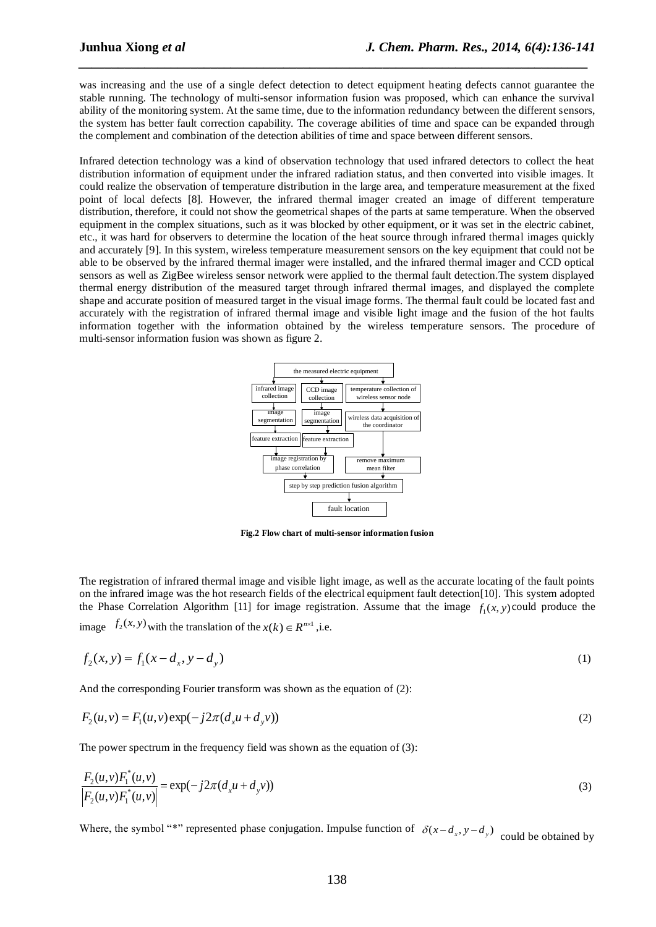was increasing and the use of a single defect detection to detect equipment heating defects cannot guarantee the stable running. The technology of multi-sensor information fusion was proposed, which can enhance the survival ability of the monitoring system. At the same time, due to the information redundancy between the different sensors, the system has better fault correction capability. The coverage abilities of time and space can be expanded through the complement and combination of the detection abilities of time and space between different sensors.

*\_\_\_\_\_\_\_\_\_\_\_\_\_\_\_\_\_\_\_\_\_\_\_\_\_\_\_\_\_\_\_\_\_\_\_\_\_\_\_\_\_\_\_\_\_\_\_\_\_\_\_\_\_\_\_\_\_\_\_\_\_\_\_\_\_\_\_\_\_\_\_\_\_\_\_\_\_*

Infrared detection technology was a kind of observation technology that used infrared detectors to collect the heat distribution information of equipment under the infrared radiation status, and then converted into visible images. It could realize the observation of temperature distribution in the large area, and temperature measurement at the fixed point of local defects [8]. However, the infrared thermal imager created an image of different temperature distribution, therefore, it could not show the geometrical shapes of the parts at same temperature. When the observed equipment in the complex situations, such as it was blocked by other equipment, or it was set in the electric cabinet, etc., it was hard for observers to determine the location of the heat source through infrared thermal images quickly and accurately [9]. In this system, wireless temperature measurement sensors on the key equipment that could not be able to be observed by the infrared thermal imager were installed, and the infrared thermal imager and CCD optical sensors as well as ZigBee wireless sensor network were applied to the thermal fault detection.The system displayed thermal energy distribution of the measured target through infrared thermal images, and displayed the complete shape and accurate position of measured target in the visual image forms. The thermal fault could be located fast and accurately with the registration of infrared thermal image and visible light image and the fusion of the hot faults information together with the information obtained by the wireless temperature sensors. The procedure of multi-sensor information fusion was shown as figure 2.



**Fig.2 Flow chart of multi-sensor information fusion**

The registration of infrared thermal image and visible light image, as well as the accurate locating of the fault points on the infrared image was the hot research fields of the electrical equipment fault detection[10]. This system adopted the Phase Correlation Algorithm [11] for image registration. Assume that the image  $f_1(x, y)$  could produce the image  $f_2(x, y)$  with the translation of the  $x(k) \in R^{n \times 1}$ , i.e.

$$
f_2(x, y) = f_1(x - d_x, y - d_y)
$$
 (1)

And the corresponding Fourier transform was shown as the equation of (2):

$$
F_2(u, v) = F_1(u, v) \exp(-j2\pi (d_x u + d_y v))
$$
\n(2)

The power spectrum in the frequency field was shown as the equation of (3):

$$
\frac{F_2(u, v)F_1^*(u, v)}{|F_2(u, v)F_1^*(u, v)|} = \exp(-j2\pi(d_x u + d_y v))
$$
\n(3)

Where, the symbol "\*" represented phase conjugation. Impulse function of  $\delta(x - d_x, y - d_y)$  could be obtained by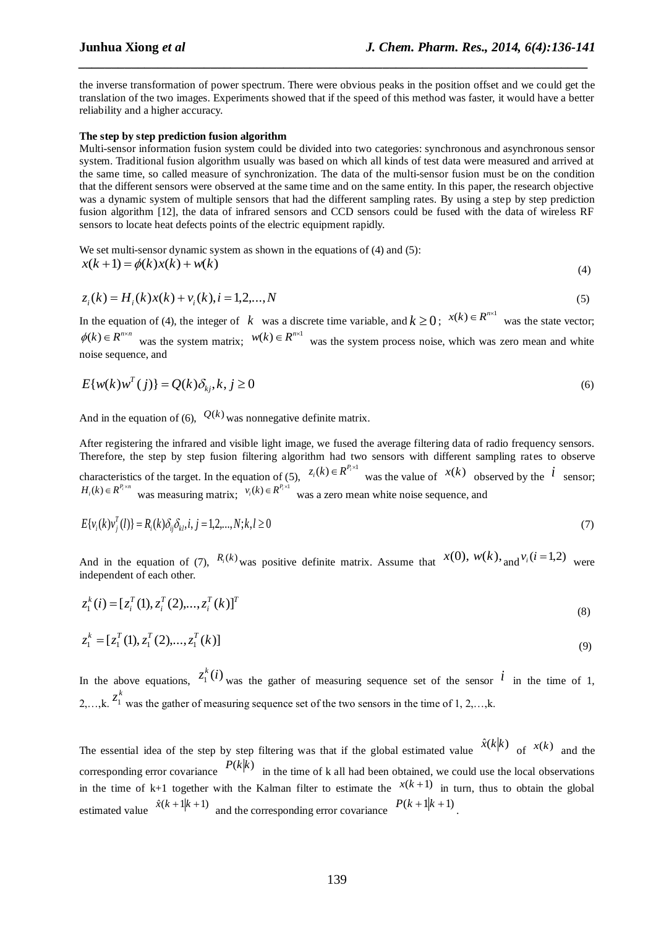the inverse transformation of power spectrum. There were obvious peaks in the position offset and we could get the translation of the two images. Experiments showed that if the speed of this method was faster, it would have a better reliability and a higher accuracy.

*\_\_\_\_\_\_\_\_\_\_\_\_\_\_\_\_\_\_\_\_\_\_\_\_\_\_\_\_\_\_\_\_\_\_\_\_\_\_\_\_\_\_\_\_\_\_\_\_\_\_\_\_\_\_\_\_\_\_\_\_\_\_\_\_\_\_\_\_\_\_\_\_\_\_\_\_\_*

#### **The step by step prediction fusion algorithm**

Multi-sensor information fusion system could be divided into two categories: synchronous and asynchronous sensor system. Traditional fusion algorithm usually was based on which all kinds of test data were measured and arrived at the same time, so called measure of synchronization. The data of the multi-sensor fusion must be on the condition that the different sensors were observed at the same time and on the same entity. In this paper, the research objective was a dynamic system of multiple sensors that had the different sampling rates. By using a step by step prediction fusion algorithm [12], the data of infrared sensors and CCD sensors could be fused with the data of wireless RF sensors to locate heat defects points of the electric equipment rapidly.

We set multi-sensor dynamic system as shown in the equations of (4) and (5):  $x(k+1) = \phi(k)x(k) + w(k)$ (4)

$$
z_i(k) = H_i(k)x(k) + v_i(k), i = 1, 2, ..., N
$$
\n(5)

In the equation of (4), the integer of  $k$  was a discrete time variable, and  $k \ge 0$ ;  $x(k) \in R^{n \times 1}$  was the state vector;  $\phi(k) \in R^{n \times n}$  was the system matrix;  $w(k) \in R^{n \times 1}$  was the system process noise, which was zero mean and white noise sequence, and

$$
E\{w(k)w^{T}(j)\} = Q(k)\delta_{kj}, k, j \ge 0
$$
\n<sup>(6)</sup>

And in the equation of (6),  $Q(k)$  was nonnegative definite matrix.

After registering the infrared and visible light image, we fused the average filtering data of radio frequency sensors. Therefore, the step by step fusion filtering algorithm had two sensors with different sampling rates to observe characteristics of the target. In the equation of (5),  $z_i(k) \in R^{P_i \times 1}$  was the value of  $x(k)$  observed by the  $i$  sensor;  $H_i(k) \in R^{P_i \times n}$  was measuring matrix;  $V_i(k) \in R^{P_i \times 1}$  was a zero mean white noise sequence, and

$$
E\{v_i(k)v_j^T(l)\} = R_i(k)\delta_{ij}\delta_{kl}, i, j = 1, 2, ..., N; k, l \ge 0
$$
\n(7)

And in the equation of (7),  $R_i(k)$  was positive definite matrix. Assume that  $x(0)$ ,  $w(k)$ , and  $v_i(i=1,2)$  were independent of each other.

$$
z_1^k(i) = [z_i^T(1), z_i^T(2), \dots, z_i^T(k)]^T
$$
\n(8)

$$
z_1^k = [z_1^T(1), z_1^T(2), \dots, z_1^T(k)]
$$
\n(9)

In the above equations,  $z_1^k(i)$ was the gather of measuring sequence set of the sensor  $\hat{i}$  in the time of 1, 2,…,k.  $z_1^k$  was the gather of measuring sequence set of the two sensors in the time of 1, 2,...,k.

The essential idea of the step by step filtering was that if the global estimated value  $\hat{x}(k|k)$  of  $x(k)$  and the corresponding error covariance  $P(k|k)$  in the time of k all had been obtained, we could use the local observations in the time of  $k+1$  together with the Kalman filter to estimate the  $x(k+1)$  in turn, thus to obtain the global estimated value  $\hat{x}(k+1|k+1)$  and the corresponding error covariance  $P(k+1|k+1)$ .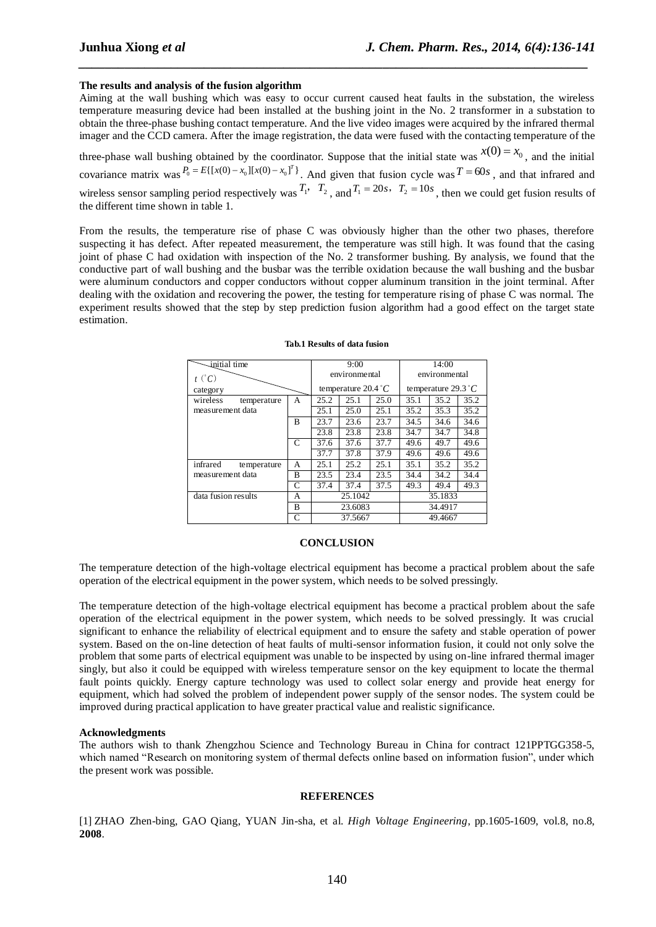### **The results and analysis of the fusion algorithm**

Aiming at the wall bushing which was easy to occur current caused heat faults in the substation, the wireless temperature measuring device had been installed at the bushing joint in the No. 2 transformer in a substation to obtain the three-phase bushing contact temperature. And the live video images were acquired by the infrared thermal imager and the CCD camera. After the image registration, the data were fused with the contacting temperature of the

*\_\_\_\_\_\_\_\_\_\_\_\_\_\_\_\_\_\_\_\_\_\_\_\_\_\_\_\_\_\_\_\_\_\_\_\_\_\_\_\_\_\_\_\_\_\_\_\_\_\_\_\_\_\_\_\_\_\_\_\_\_\_\_\_\_\_\_\_\_\_\_\_\_\_\_\_\_*

three-phase wall bushing obtained by the coordinator. Suppose that the initial state was  $x(0) = x_0$ , and the initial covariance matrix was  $P_0 = E[{[x(0) - x_0][x(0) - x_0]}^T$ . And given that fusion cycle was  $T = 60s$ , and that infrared and wireless sensor sampling period respectively was  $T_1$ ,  $T_2$ , and  $T_1 = 20s$ ,  $T_2 = 10s$ , then we could get fusion results of the different time shown in table 1.

From the results, the temperature rise of phase C was obviously higher than the other two phases, therefore suspecting it has defect. After repeated measurement, the temperature was still high. It was found that the casing joint of phase C had oxidation with inspection of the No. 2 transformer bushing. By analysis, we found that the conductive part of wall bushing and the busbar was the terrible oxidation because the wall bushing and the busbar were aluminum conductors and copper conductors without copper aluminum transition in the joint terminal. After dealing with the oxidation and recovering the power, the testing for temperature rising of phase C was normal. The experiment results showed that the step by step prediction fusion algorithm had a good effect on the target state estimation.

| initial time            |   | 9:00               |                             |      | 14:00         |                       |      |  |
|-------------------------|---|--------------------|-----------------------------|------|---------------|-----------------------|------|--|
| $t (^{\circ}C)$         |   | environmental      |                             |      | environmental |                       |      |  |
| category                |   |                    | temperature $20.4^{\circ}C$ |      |               | temperature 29.3 $°C$ |      |  |
| wireless<br>temperature | A | 25.2               | 25.1                        | 25.0 | 35.1          | 35.2                  | 35.2 |  |
| measurement data        |   | 25.1               | 25.0                        | 25.1 | 35.2          | 35.3                  | 35.2 |  |
|                         | R | 23.7               | 23.6                        | 23.7 | 34.5          | 34.6                  | 34.6 |  |
|                         |   | 23.8               | 23.8                        | 23.8 | 34.7          | 34.7                  | 34.8 |  |
|                         | C | 37.6               | 37.6                        | 37.7 | 49.6          | 49.7                  | 49.6 |  |
|                         |   | 37.7               | 37.8                        | 37.9 | 49.6          | 49.6                  | 49.6 |  |
| infrared<br>temperature | A | 25.1               | 25.2                        | 25.1 | 35.1          | 35.2                  | 35.2 |  |
| measurement data        | B | 23.5               | 23.4                        | 23.5 | 34.4          | 34.2                  | 34.4 |  |
|                         | C | 37.4               | 37.4                        | 37.5 | 49.3          | 49.4                  | 49.3 |  |
| data fusion results     | А | 25.1042<br>23.6083 |                             |      | 35.1833       |                       |      |  |
|                         | B |                    |                             |      | 34.4917       |                       |      |  |
|                         | C | 37.5667            |                             |      | 49.4667       |                       |      |  |

### **Tab.1 Results of data fusion**

#### **CONCLUSION**

The temperature detection of the high-voltage electrical equipment has become a practical problem about the safe operation of the electrical equipment in the power system, which needs to be solved pressingly.

The temperature detection of the high-voltage electrical equipment has become a practical problem about the safe operation of the electrical equipment in the power system, which needs to be solved pressingly. It was crucial significant to enhance the reliability of electrical equipment and to ensure the safety and stable operation of power system. Based on the on-line detection of heat faults of multi-sensor information fusion, it could not only solve the problem that some parts of electrical equipment was unable to be inspected by using on-line infrared thermal imager singly, but also it could be equipped with wireless temperature sensor on the key equipment to locate the thermal fault points quickly. Energy capture technology was used to collect solar energy and provide heat energy for equipment, which had solved the problem of independent power supply of the sensor nodes. The system could be improved during practical application to have greater practical value and realistic significance.

#### **Acknowledgments**

The authors wish to thank Zhengzhou Science and Technology Bureau in China for contract 121PPTGG358-5, which named "Research on monitoring system of thermal defects online based on information fusion", under which the present work was possible.

#### **REFERENCES**

[1] ZHAO Zhen-bing, GAO Qiang, YUAN Jin-sha, et al. *[High Voltage Engineering](http://202.196.131.223:82/KNS50/Navi/Bridge.aspx?LinkType=BaseLink&DBCode=cjfd&TableName=cjfdbaseinfo&Field=BaseID&Value=GDYJ&NaviLink=%e9%ab%98%e7%94%b5%e5%8e%8b%e6%8a%80%e6%9c%af)*, pp.1605-1609, vol.8, no.8, **2008**.